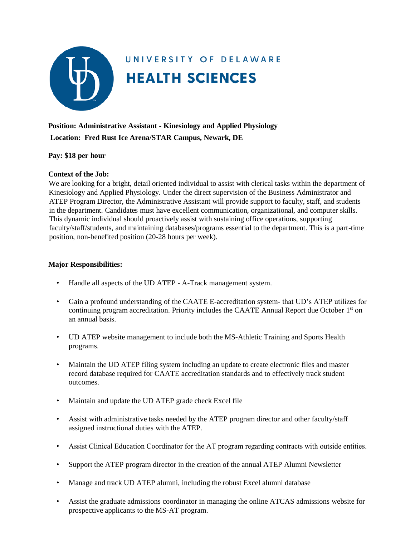

# UNIVERSITY OF DELAWARE **HEALTH SCIENCES**

## **Position: Administrative Assistant - Kinesiology and Applied Physiology Location: Fred Rust Ice Arena/STAR Campus, Newark, DE**

#### **Pay: \$18 per hour**

#### **Context of the Job:**

We are looking for a bright, detail oriented individual to assist with clerical tasks within the department of Kinesiology and Applied Physiology. Under the direct supervision of the Business Administrator and ATEP Program Director, the Administrative Assistant will provide support to faculty, staff, and students in the department. Candidates must have excellent communication, organizational, and computer skills. This dynamic individual should proactively assist with sustaining office operations, supporting faculty/staff/students, and maintaining databases/programs essential to the department. This is a part-time position, non-benefited position (20-28 hours per week).

#### **Major Responsibilities:**

- Handle all aspects of the UD ATEP A-Track management system.
- Gain a profound understanding of the CAATE E-accreditation system- that UD's ATEP utilizes for continuing program accreditation. Priority includes the CAATE Annual Report due October  $1<sup>st</sup>$  on an annual basis.
- UD ATEP website management to include both the MS-Athletic Training and Sports Health programs.
- Maintain the UD ATEP filing system including an update to create electronic files and master record database required for CAATE accreditation standards and to effectively track student outcomes.
- Maintain and update the UD ATEP grade check Excel file
- Assist with administrative tasks needed by the ATEP program director and other faculty/staff assigned instructional duties with the ATEP.
- Assist Clinical Education Coordinator for the AT program regarding contracts with outside entities.
- Support the ATEP program director in the creation of the annual ATEP Alumni Newsletter
- Manage and track UD ATEP alumni, including the robust Excel alumni database
- Assist the graduate admissions coordinator in managing the online ATCAS admissions website for prospective applicants to the MS-AT program.